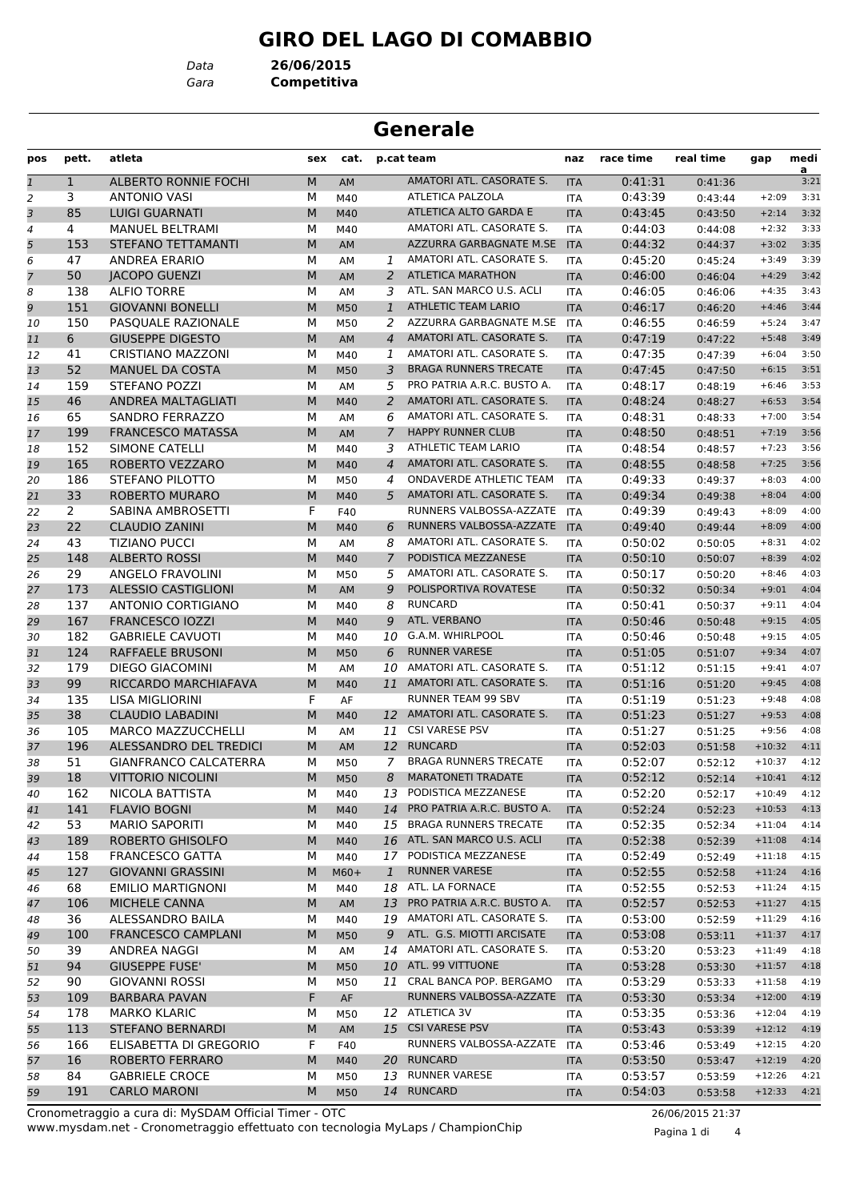# **GIRO DEL LAGO DI COMABBIO**

*Data* **26/06/2015**

*Gara* **Competitiva**

## **Generale**

| pos            | pett.          | atleta                       | sex | cat.      |                | p.cat team                   | naz        | race time | real time | gap      | medi                   |
|----------------|----------------|------------------------------|-----|-----------|----------------|------------------------------|------------|-----------|-----------|----------|------------------------|
| $\mathfrak 1$  | $\mathbf{1}$   | <b>ALBERTO RONNIE FOCHI</b>  | M   | AM        |                | AMATORI ATL. CASORATE S.     | <b>ITA</b> | 0:41:31   | 0:41:36   |          | $\overline{a}$<br>3:21 |
| 2              | 3              | <b>ANTONIO VASI</b>          | М   | M40       |                | <b>ATLETICA PALZOLA</b>      | <b>ITA</b> | 0:43:39   | 0:43:44   | $+2:09$  | 3:31                   |
| 3              | 85             | <b>LUIGI GUARNATI</b>        | M   | M40       |                | ATLETICA ALTO GARDA E        | <b>ITA</b> | 0:43:45   | 0:43:50   | $+2:14$  | 3:32                   |
| $\overline{a}$ | 4              | MANUEL BELTRAMI              | М   | M40       |                | AMATORI ATL. CASORATE S.     | <b>ITA</b> | 0:44:03   | 0:44:08   | $+2:32$  | 3:33                   |
| 5              | 153            | <b>STEFANO TETTAMANTI</b>    | M   | AM        |                | AZZURRA GARBAGNATE M.SE      | <b>ITA</b> | 0:44:32   | 0:44:37   | $+3:02$  | 3:35                   |
| 6              | 47             | <b>ANDREA ERARIO</b>         | М   | AM        | 1              | AMATORI ATL. CASORATE S.     | <b>ITA</b> | 0:45:20   | 0:45:24   | $+3:49$  | 3:39                   |
| 7              | 50             | <b>JACOPO GUENZI</b>         | M   | AM        | 2              | <b>ATLETICA MARATHON</b>     | <b>ITA</b> | 0:46:00   | 0:46:04   | $+4:29$  | 3:42                   |
| 8              | 138            | <b>ALFIO TORRE</b>           | М   | AM        | 3              | ATL. SAN MARCO U.S. ACLI     | <b>ITA</b> | 0:46:05   | 0:46:06   | $+4:35$  | 3:43                   |
| 9              | 151            | <b>GIOVANNI BONELLI</b>      | M   | M50       | $\mathbf{1}$   | <b>ATHLETIC TEAM LARIO</b>   | <b>ITA</b> | 0:46:17   | 0:46:20   | $+4:46$  | 3:44                   |
| 10             | 150            | PASQUALE RAZIONALE           | М   | M50       | 2              | AZZURRA GARBAGNATE M.SE      | ITA        | 0:46:55   | 0:46:59   | $+5:24$  | 3:47                   |
| 11             | 6              | <b>GIUSEPPE DIGESTO</b>      | M   | AM        | $\overline{4}$ | AMATORI ATL. CASORATE S.     | <b>ITA</b> | 0:47:19   | 0:47:22   | $+5:48$  | 3:49                   |
| 12             | 41             | <b>CRISTIANO MAZZONI</b>     | М   | M40       | 1              | AMATORI ATL. CASORATE S.     | <b>ITA</b> | 0:47:35   | 0:47:39   | $+6:04$  | 3:50                   |
| 13             | 52             | MANUEL DA COSTA              | M   | M50       | 3              | <b>BRAGA RUNNERS TRECATE</b> | <b>ITA</b> | 0:47:45   | 0:47:50   | $+6:15$  | 3:51                   |
| 14             | 159            | STEFANO POZZI                | М   | AM        | 5              | PRO PATRIA A.R.C. BUSTO A.   | <b>ITA</b> | 0:48:17   | 0:48:19   | $+6:46$  | 3:53                   |
| 15             | 46             | <b>ANDREA MALTAGLIATI</b>    | M   | M40       | $\overline{2}$ | AMATORI ATL. CASORATE S.     | <b>ITA</b> | 0:48:24   | 0:48:27   | $+6:53$  | 3:54                   |
| 16             | 65             | <b>SANDRO FERRAZZO</b>       | М   | AM        | 6              | AMATORI ATL. CASORATE S.     | <b>ITA</b> | 0:48:31   | 0:48:33   | $+7:00$  | 3:54                   |
| 17             | 199            | <b>FRANCESCO MATASSA</b>     | M   | <b>AM</b> | $\overline{7}$ | <b>HAPPY RUNNER CLUB</b>     | <b>ITA</b> | 0:48:50   | 0:48:51   | $+7:19$  | 3:56                   |
| 18             | 152            | <b>SIMONE CATELLI</b>        | М   | M40       | 3              | ATHLETIC TEAM LARIO          | <b>ITA</b> | 0:48:54   | 0:48:57   | $+7:23$  | 3:56                   |
| 19             | 165            | ROBERTO VEZZARO              | M   | M40       | $\overline{4}$ | AMATORI ATL. CASORATE S.     | <b>ITA</b> | 0:48:55   | 0:48:58   | $+7:25$  | 3:56                   |
| 20             | 186            | STEFANO PILOTTO              | М   | M50       | 4              | ONDAVERDE ATHLETIC TEAM      | <b>ITA</b> | 0:49:33   | 0:49:37   | $+8:03$  | 4:00                   |
| 21             | 33             | <b>ROBERTO MURARO</b>        | M   | M40       | 5              | AMATORI ATL. CASORATE S.     | <b>ITA</b> | 0:49:34   | 0:49:38   | $+8:04$  | 4:00                   |
| 22             | $\overline{2}$ | SABINA AMBROSETTI            | F   | F40       |                | RUNNERS VALBOSSA-AZZATE      | ITA        | 0:49:39   | 0:49:43   | $+8:09$  | 4:00                   |
| 23             | 22             | <b>CLAUDIO ZANINI</b>        | M   | M40       | 6              | RUNNERS VALBOSSA-AZZATE      | <b>ITA</b> | 0:49:40   | 0:49:44   | $+8:09$  | 4:00                   |
| 24             | 43             | <b>TIZIANO PUCCI</b>         | М   | AM        | 8              | AMATORI ATL. CASORATE S.     | <b>ITA</b> | 0:50:02   | 0:50:05   | $+8:31$  | 4:02                   |
| 25             | 148            | <b>ALBERTO ROSSI</b>         | M   | M40       | $\overline{7}$ | PODISTICA MEZZANESE          | <b>ITA</b> | 0:50:10   | 0:50:07   | $+8:39$  | 4:02                   |
| 26             | 29             | ANGELO FRAVOLINI             | М   | M50       | 5              | AMATORI ATL. CASORATE S.     | <b>ITA</b> | 0:50:17   | 0:50:20   | $+8:46$  | 4:03                   |
| 27             | 173            | <b>ALESSIO CASTIGLIONI</b>   | M   | AM        | 9              | POLISPORTIVA ROVATESE        | <b>ITA</b> | 0:50:32   | 0:50:34   | $+9:01$  | 4:04                   |
| 28             | 137            | <b>ANTONIO CORTIGIANO</b>    | М   | M40       | 8              | <b>RUNCARD</b>               | <b>ITA</b> | 0:50:41   | 0:50:37   | $+9:11$  | 4:04                   |
| 29             | 167            | <b>FRANCESCO IOZZI</b>       | M   | M40       | 9              | ATL. VERBANO                 | <b>ITA</b> | 0:50:46   | 0:50:48   | $+9:15$  | 4:05                   |
| 30             | 182            | <b>GABRIELE CAVUOTI</b>      | М   | M40       | 10             | G.A.M. WHIRLPOOL             | <b>ITA</b> | 0:50:46   | 0:50:48   | $+9:15$  | 4:05                   |
| 31             | 124            | <b>RAFFAELE BRUSONI</b>      | M   | M50       | 6              | <b>RUNNER VARESE</b>         | <b>ITA</b> | 0:51:05   | 0:51:07   | $+9:34$  | 4:07                   |
| 32             | 179            | <b>DIEGO GIACOMINI</b>       | М   | AM        | 10             | AMATORI ATL. CASORATE S.     | <b>ITA</b> | 0:51:12   | 0:51:15   | $+9:41$  | 4:07                   |
| 33             | 99             | RICCARDO MARCHIAFAVA         | M   | M40       |                | 11 AMATORI ATL. CASORATE S.  | <b>ITA</b> | 0:51:16   | 0:51:20   | $+9:45$  | 4:08                   |
| 34             | 135            | <b>LISA MIGLIORINI</b>       | F   | AF        |                | <b>RUNNER TEAM 99 SBV</b>    | ITA        | 0:51:19   | 0:51:23   | $+9:48$  | 4:08                   |
| 35             | 38             | <b>CLAUDIO LABADINI</b>      | M   | M40       |                | 12 AMATORI ATL. CASORATE S.  | <b>ITA</b> | 0:51:23   | 0:51:27   | $+9:53$  | 4:08                   |
| 36             | 105            | MARCO MAZZUCCHELLI           | М   | AM        | 11             | <b>CSI VARESE PSV</b>        | <b>ITA</b> | 0:51:27   | 0:51:25   | $+9:56$  | 4:08                   |
| 37             | 196            | ALESSANDRO DEL TREDICI       | M   | AM        |                | 12 RUNCARD                   | <b>ITA</b> | 0:52:03   | 0:51:58   | $+10:32$ | 4:11                   |
| 38             | 51             | <b>GIANFRANCO CALCATERRA</b> | м   | M50       | 7              | <b>BRAGA RUNNERS TRECATE</b> | <b>ITA</b> | 0:52:07   | 0:52:12   | $+10:37$ | 4:12                   |
| 39             | 18             | <b>VITTORIO NICOLINI</b>     | M   | M50       | 8              | <b>MARATONETI TRADATE</b>    | <b>ITA</b> | 0:52:12   | 0:52:14   | $+10:41$ | 4:12                   |
| 40             | 162            | NICOLA BATTISTA              | м   | M40       |                | 13 PODISTICA MEZZANESE       | ITA        | 0:52:20   | 0:52:17   | $+10:49$ | 4:12                   |
| 41             | 141            | <b>FLAVIO BOGNI</b>          | M   | M40       | 14             | PRO PATRIA A.R.C. BUSTO A.   | <b>ITA</b> | 0:52:24   | 0:52:23   | $+10:53$ | 4:13                   |
| 42             | 53             | <b>MARIO SAPORITI</b>        | м   | M40       | 15             | <b>BRAGA RUNNERS TRECATE</b> | ITA        | 0:52:35   | 0:52:34   | $+11:04$ | 4:14                   |
| 43             | 189            | <b>ROBERTO GHISOLFO</b>      | M   | M40       |                | 16 ATL. SAN MARCO U.S. ACLI  | <b>ITA</b> | 0:52:38   | 0:52:39   | $+11:08$ | 4:14                   |
| 44             | 158            | FRANCESCO GATTA              | м   | M40       |                | 17 PODISTICA MEZZANESE       | <b>ITA</b> | 0:52:49   | 0:52:49   | $+11:18$ | 4:15                   |
| 45             | 127            | <b>GIOVANNI GRASSINI</b>     | M   | $M60+$    | $\mathbf{1}$   | <b>RUNNER VARESE</b>         | <b>ITA</b> | 0:52:55   | 0:52:58   | $+11:24$ | 4:16                   |
| 46             | 68             | <b>EMILIO MARTIGNONI</b>     | м   | M40       |                | 18 ATL. LA FORNACE           | ITA        | 0:52:55   | 0:52:53   | $+11:24$ | 4:15                   |
| 47             | 106            | <b>MICHELE CANNA</b>         | M   | AM        | 13             | PRO PATRIA A.R.C. BUSTO A.   | <b>ITA</b> | 0:52:57   | 0:52:53   | $+11:27$ | 4:15                   |
| 48             | 36             | ALESSANDRO BAILA             | М   | M40       |                | 19 AMATORI ATL. CASORATE S.  | ITA        | 0:53:00   | 0:52:59   | $+11:29$ | 4:16                   |
| 49             | 100            | <b>FRANCESCO CAMPLANI</b>    | M   | M50       |                | 9 ATL. G.S. MIOTTI ARCISATE  | <b>ITA</b> | 0:53:08   | 0:53:11   | $+11:37$ | 4:17                   |
| 50             | 39             | ANDREA NAGGI                 | м   | AM        |                | 14 AMATORI ATL. CASORATE S.  | <b>ITA</b> | 0:53:20   | 0:53:23   | $+11:49$ | 4:18                   |
| 51             | 94             | <b>GIUSEPPE FUSE'</b>        | M   | M50       |                | 10 ATL. 99 VITTUONE          | <b>ITA</b> | 0:53:28   | 0:53:30   | $+11:57$ | 4:18                   |
| 52             | 90             | <b>GIOVANNI ROSSI</b>        | м   | M50       |                | 11 CRAL BANCA POP. BERGAMO   | ITA        | 0:53:29   | 0:53:33   | $+11:58$ | 4:19                   |
| 53             | 109            | <b>BARBARA PAVAN</b>         | F.  | AF        |                | RUNNERS VALBOSSA-AZZATE      | <b>ITA</b> | 0:53:30   | 0:53:34   | $+12:00$ | 4:19                   |
| 54             | 178            | <b>MARKO KLARIC</b>          | М   | M50       |                | 12 ATLETICA 3V               | ITA        | 0:53:35   | 0:53:36   | $+12:04$ | 4:19                   |
| 55             | 113            | <b>STEFANO BERNARDI</b>      | M   | AM        |                | 15 CSI VARESE PSV            | <b>ITA</b> | 0:53:43   | 0:53:39   | $+12:12$ | 4:19                   |
| 56             | 166            | ELISABETTA DI GREGORIO       | F   | F40       |                | RUNNERS VALBOSSA-AZZATE      | ITA        | 0:53:46   | 0:53:49   | $+12:15$ | 4:20                   |
| 57             | 16             | ROBERTO FERRARO              | M   | M40       |                | 20 RUNCARD                   | <b>ITA</b> | 0:53:50   | 0:53:47   | $+12:19$ | 4:20                   |
| 58             | 84             | <b>GABRIELE CROCE</b>        | м   | M50       |                | 13 RUNNER VARESE             | ITA        | 0:53:57   | 0:53:59   | $+12:26$ | 4:21                   |
| 59             | 191            | <b>CARLO MARONI</b>          | M   | M50       |                | 14 RUNCARD                   | <b>ITA</b> | 0:54:03   | 0:53:58   | $+12:33$ | 4:21                   |
|                |                |                              |     |           |                |                              |            |           |           |          |                        |

www.mysdam.net - Cronometraggio effettuato con tecnologia MyLaps / ChampionChip Cronometraggio a cura di: MySDAM Official Timer - OTC 26/06/2015 21:37

Pagina 1 di 4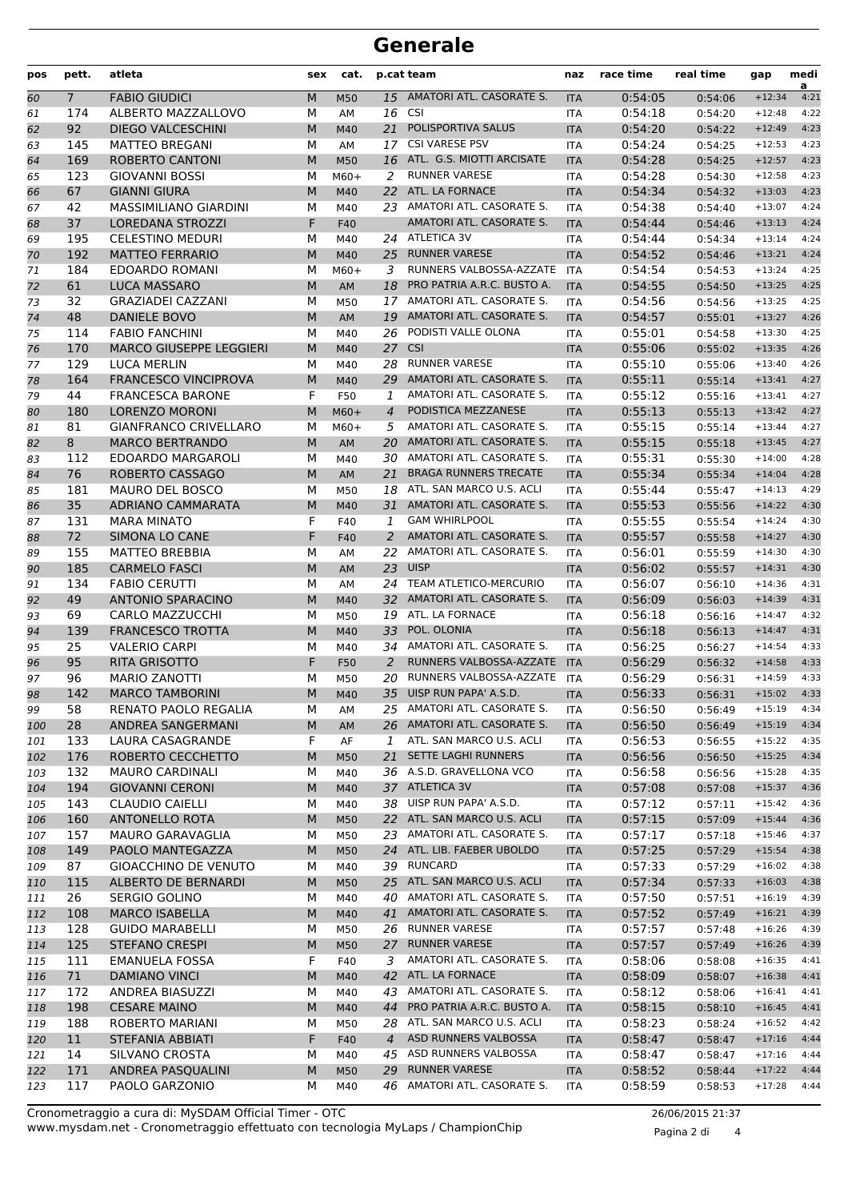## **Generale**

| pos        | pett.          | atleta                                          | sex    | cat.             |                | p.cat team                                            | naz                      | race time          | real time          | gap                  | medi<br>a    |
|------------|----------------|-------------------------------------------------|--------|------------------|----------------|-------------------------------------------------------|--------------------------|--------------------|--------------------|----------------------|--------------|
| 60         | $\overline{7}$ | <b>FABIO GIUDICI</b>                            | M      | M50              | 15             | AMATORI ATL. CASORATE S.                              | <b>ITA</b>               | 0:54:05            | 0:54:06            | $+12:34$             | 4:21         |
| 61         | 174            | ALBERTO MAZZALLOVO                              | М      | AM               | 16             | <b>CSI</b>                                            | <b>ITA</b>               | 0:54:18            | 0:54:20            | $+12:48$             | 4:22         |
| 62         | 92             | <b>DIEGO VALCESCHINI</b>                        | M      | M40              | 21             | POLISPORTIVA SALUS                                    | <b>ITA</b>               | 0:54:20            | 0:54:22            | $+12:49$             | 4:23         |
| 63         | 145            | <b>MATTEO BREGANI</b>                           | М      | AM               | 17             | <b>CSI VARESE PSV</b>                                 | <b>ITA</b>               | 0:54:24            | 0:54:25            | $+12:53$             | 4:23         |
| 64         | 169            | <b>ROBERTO CANTONI</b>                          | M      | M50              | 16             | ATL. G.S. MIOTTI ARCISATE                             | <b>ITA</b>               | 0:54:28            | 0:54:25            | $+12:57$             | 4:23         |
| 65         | 123            | <b>GIOVANNI BOSSI</b>                           | М      | $M60+$           | 2              | <b>RUNNER VARESE</b>                                  | <b>ITA</b>               | 0:54:28            | 0:54:30            | $+12:58$             | 4:23         |
| 66         | 67             | <b>GIANNI GIURA</b>                             | M      | M40              | 22             | ATL. LA FORNACE                                       | <b>ITA</b>               | 0:54:34            | 0:54:32            | $+13:03$             | 4:23         |
| 67         | 42             | <b>MASSIMILIANO GIARDINI</b>                    | M      | M40              |                | 23 AMATORI ATL. CASORATE S.                           | <b>ITA</b>               | 0:54:38            | 0:54:40            | $+13:07$             | 4:24         |
| 68         | 37             | <b>LOREDANA STROZZI</b>                         | F.     | F40              |                | AMATORI ATL. CASORATE S.                              | <b>ITA</b>               | 0:54:44            | 0:54:46            | $+13:13$             | 4:24         |
| 69         | 195            | <b>CELESTINO MEDURI</b>                         | М      | M40              | 24             | <b>ATLETICA 3V</b>                                    | <b>ITA</b>               | 0:54:44            | 0:54:34            | $+13:14$             | 4:24         |
| 70         | 192            | <b>MATTEO FERRARIO</b>                          | M      | M40              | 25             | <b>RUNNER VARESE</b>                                  | <b>ITA</b>               | 0:54:52            | 0:54:46            | $+13:21$             | 4:24         |
| 71         | 184            | <b>EDOARDO ROMANI</b>                           | М      | $M60+$           | 3              | RUNNERS VALBOSSA-AZZATE<br>PRO PATRIA A.R.C. BUSTO A. | <b>ITA</b>               | 0:54:54            | 0:54:53            | $+13:24$             | 4:25<br>4:25 |
| 72         | 61<br>32       | <b>LUCA MASSARO</b><br><b>GRAZIADEI CAZZANI</b> | M<br>М | AM               | 18             | 17 AMATORI ATL. CASORATE S.                           | <b>ITA</b>               | 0:54:55<br>0:54:56 | 0:54:50            | $+13:25$             | 4:25         |
| 73         | 48             | <b>DANIELE BOVO</b>                             | M      | M50<br><b>AM</b> | 19             | AMATORI ATL. CASORATE S.                              | <b>ITA</b><br><b>ITA</b> | 0:54:57            | 0:54:56            | $+13:25$<br>$+13:27$ | 4:26         |
| 74<br>75   | 114            | <b>FABIO FANCHINI</b>                           | М      | M40              | 26             | PODISTI VALLE OLONA                                   | <b>ITA</b>               | 0:55:01            | 0:55:01<br>0:54:58 | $+13:30$             | 4:25         |
| 76         | 170            | <b>MARCO GIUSEPPE LEGGIERI</b>                  | M      | M40              | 27             | CSI                                                   | <b>ITA</b>               | 0:55:06            | 0:55:02            | $+13:35$             | 4:26         |
| 77         | 129            | <b>LUCA MERLIN</b>                              | М      | M40              | 28             | <b>RUNNER VARESE</b>                                  | <b>ITA</b>               | 0:55:10            | 0:55:06            | $+13:40$             | 4:26         |
| 78         | 164            | <b>FRANCESCO VINCIPROVA</b>                     | M      | M40              | 29             | AMATORI ATL. CASORATE S.                              | <b>ITA</b>               | 0:55:11            | 0:55:14            | $+13:41$             | 4:27         |
| 79         | 44             | <b>FRANCESCA BARONE</b>                         | F      | F50              | 1              | AMATORI ATL. CASORATE S.                              | <b>ITA</b>               | 0:55:12            | 0:55:16            | $+13:41$             | 4:27         |
| 80         | 180            | <b>LORENZO MORONI</b>                           | M      | $M60+$           | $\overline{4}$ | PODISTICA MEZZANESE                                   | <b>ITA</b>               | 0:55:13            | 0:55:13            | $+13:42$             | 4:27         |
| 81         | 81             | <b>GIANFRANCO CRIVELLARO</b>                    | М      | $M60+$           | 5              | AMATORI ATL. CASORATE S.                              | <b>ITA</b>               | 0:55:15            | 0:55:14            | $+13:44$             | 4:27         |
| 82         | 8              | <b>MARCO BERTRANDO</b>                          | M      | AM               | 20             | AMATORI ATL. CASORATE S.                              | <b>ITA</b>               | 0:55:15            | 0:55:18            | $+13:45$             | 4:27         |
| 83         | 112            | EDOARDO MARGAROLI                               | М      | M40              | 30             | AMATORI ATL. CASORATE S.                              | <b>ITA</b>               | 0:55:31            | 0:55:30            | $+14:00$             | 4:28         |
| 84         | 76             | ROBERTO CASSAGO                                 | M      | AM               | 21             | <b>BRAGA RUNNERS TRECATE</b>                          | <b>ITA</b>               | 0:55:34            | 0:55:34            | $+14:04$             | 4:28         |
| 85         | 181            | <b>MAURO DEL BOSCO</b>                          | М      | M50              |                | 18 ATL. SAN MARCO U.S. ACLI                           | <b>ITA</b>               | 0:55:44            | 0:55:47            | $+14:13$             | 4:29         |
| 86         | 35             | <b>ADRIANO CAMMARATA</b>                        | M      | M40              | 31             | AMATORI ATL. CASORATE S.                              | <b>ITA</b>               | 0:55:53            | 0:55:56            | $+14:22$             | 4:30         |
| 87         | 131            | <b>MARA MINATO</b>                              | F      | F40              | 1              | <b>GAM WHIRLPOOL</b>                                  | <b>ITA</b>               | 0:55:55            | 0:55:54            | $+14:24$             | 4:30         |
| 88         | 72             | <b>SIMONA LO CANE</b>                           | F      | F40              | 2              | AMATORI ATL. CASORATE S.                              | <b>ITA</b>               | 0:55:57            | 0:55:58            | $+14:27$             | 4:30         |
| 89         | 155            | <b>MATTEO BREBBIA</b>                           | М      | AM               | 22             | AMATORI ATL. CASORATE S.                              | <b>ITA</b>               | 0:56:01            | 0:55:59            | $+14:30$             | 4:30         |
| 90         | 185            | <b>CARMELO FASCI</b>                            | M      | AM               | 23             | <b>UISP</b>                                           | <b>ITA</b>               | 0:56:02            | 0:55:57            | $+14:31$             | 4:30         |
| 91         | 134            | <b>FABIO CERUTTI</b>                            | М      | AM               |                | 24 TEAM ATLETICO-MERCURIO                             | <b>ITA</b>               | 0:56:07            | 0:56:10            | $+14:36$             | 4:31         |
| 92         | 49             | <b>ANTONIO SPARACINO</b>                        | M      | M40              | 32             | AMATORI ATL. CASORATE S.                              | <b>ITA</b>               | 0:56:09            | 0:56:03            | $+14:39$             | 4:31         |
| 93         | 69             | <b>CARLO MAZZUCCHI</b>                          | М      | M50              | 19             | ATL. LA FORNACE                                       | <b>ITA</b>               | 0:56:18            | 0:56:16            | $+14:47$             | 4:32         |
| 94         | 139            | <b>FRANCESCO TROTTA</b>                         | M      | M40              | 33             | POL. OLONIA                                           | <b>ITA</b>               | 0:56:18            | 0:56:13            | $+14:47$             | 4:31         |
| 95         | 25             | <b>VALERIO CARPI</b>                            | М      | M40              |                | 34 AMATORI ATL. CASORATE S.                           | <b>ITA</b>               | 0:56:25            | 0:56:27            | $+14:54$             | 4:33         |
| 96         | 95             | <b>RITA GRISOTTO</b>                            | F      | F50              | 2              | RUNNERS VALBOSSA-AZZATE                               | <b>ITA</b>               | 0:56:29            | 0:56:32            | $+14:58$             | 4:33         |
| 97         | 96             | <b>MARIO ZANOTTI</b>                            | М      | M50              | 20             | RUNNERS VALBOSSA-AZZATE                               | <b>ITA</b>               | 0:56:29            | 0:56:31            | $+14:59$             | 4:33         |
| 98         | 142            | <b>MARCO TAMBORINI</b>                          | M      | M40              | 35             | UISP RUN PAPA' A.S.D.                                 | <b>ITA</b>               | 0:56:33            | 0:56:31            | $+15:02$             | 4:33         |
| 99         | 58             | RENATO PAOLO REGALIA                            | М      | АM               |                | 25 AMATORI ATL. CASORATE S.                           | ITA                      | 0:56:50            | 0:56:49            | $+15:19$             | 4:34         |
| 100        | 28             | ANDREA SANGERMANI                               | M      | AM               |                | 26 AMATORI ATL. CASORATE S.                           | <b>ITA</b>               | 0:56:50            | 0:56:49            | $+15:19$             | 4:34         |
| 101        | 133            | LAURA CASAGRANDE                                | F      | AF               | 1              | ATL. SAN MARCO U.S. ACLI<br>SETTE LAGHI RUNNERS       | ITA                      | 0:56:53            | 0:56:55            | $+15:22$             | 4:35         |
| 102        | 176<br>132     | ROBERTO CECCHETTO<br><b>MAURO CARDINALI</b>     | M<br>М | M50<br>M40       | 21             | 36 A.S.D. GRAVELLONA VCO                              | <b>ITA</b>               | 0:56:56<br>0:56:58 | 0:56:50            | $+15:25$<br>$+15:28$ | 4:34<br>4:35 |
| 103<br>104 | 194            | <b>GIOVANNI CERONI</b>                          | M      | M40              |                | 37 ATLETICA 3V                                        | ITA<br><b>ITA</b>        | 0:57:08            | 0:56:56<br>0:57:08 | $+15:37$             | 4:36         |
| 105        | 143            | <b>CLAUDIO CAIELLI</b>                          | м      | M40              | 38             | UISP RUN PAPA' A.S.D.                                 | ITA                      | 0:57:12            | 0:57:11            | $+15:42$             | 4:36         |
| 106        | 160            | <b>ANTONELLO ROTA</b>                           | M      | M50              |                | 22 ATL. SAN MARCO U.S. ACLI                           | <b>ITA</b>               | 0:57:15            | 0:57:09            | $+15:44$             | 4:36         |
| 107        | 157            | <b>MAURO GARAVAGLIA</b>                         | м      | M50              |                | 23 AMATORI ATL. CASORATE S.                           | <b>ITA</b>               | 0:57:17            | 0:57:18            | $+15:46$             | 4:37         |
| 108        | 149            | PAOLO MANTEGAZZA                                | M      | M50              |                | 24 ATL. LIB. FAEBER UBOLDO                            | <b>ITA</b>               | 0:57:25            | 0:57:29            | $+15:54$             | 4:38         |
| 109        | 87             | <b>GIOACCHINO DE VENUTO</b>                     | М      | M40              |                | 39 RUNCARD                                            | ITA                      | 0:57:33            | 0:57:29            | $+16:02$             | 4:38         |
| 110        | 115            | ALBERTO DE BERNARDI                             | M      | M50              |                | 25 ATL. SAN MARCO U.S. ACLI                           | <b>ITA</b>               | 0:57:34            | 0:57:33            | $+16:03$             | 4:38         |
| 111        | 26             | SERGIO GOLINO                                   | М      | M40              | 40             | AMATORI ATL. CASORATE S.                              | ITA                      | 0:57:50            | 0:57:51            | $+16:19$             | 4:39         |
| 112        | 108            | <b>MARCO ISABELLA</b>                           | M      | M40              | 41             | AMATORI ATL. CASORATE S.                              | <b>ITA</b>               | 0:57:52            | 0:57:49            | $+16:21$             | 4:39         |
| 113        | 128            | <b>GUIDO MARABELLI</b>                          | М      | M50              |                | 26 RUNNER VARESE                                      | ITA                      | 0:57:57            | 0:57:48            | $+16:26$             | 4:39         |
| 114        | 125            | <b>STEFANO CRESPI</b>                           | M      | M50              | 27             | <b>RUNNER VARESE</b>                                  | <b>ITA</b>               | 0:57:57            | 0:57:49            | $+16:26$             | 4:39         |
| 115        | 111            | <b>EMANUELA FOSSA</b>                           | F      | F40              | 3              | AMATORI ATL. CASORATE S.                              | ITA                      | 0:58:06            | 0:58:08            | $+16:35$             | 4:41         |
| 116        | 71             | <b>DAMIANO VINCI</b>                            | M      | M40              |                | 42 ATL. LA FORNACE                                    | <b>ITA</b>               | 0:58:09            | 0:58:07            | $+16:38$             | 4:41         |
| 117        | 172            | ANDREA BIASUZZI                                 | М      | M40              |                | 43 AMATORI ATL. CASORATE S.                           | ITA                      | 0:58:12            | 0:58:06            | $+16:41$             | 4:41         |
| 118        | 198            | <b>CESARE MAINO</b>                             | M      | M40              | 44             | PRO PATRIA A.R.C. BUSTO A.                            | <b>ITA</b>               | 0:58:15            | 0:58:10            | $+16:45$             | 4:41         |
| 119        | 188            | ROBERTO MARIANI                                 | м      | M50              |                | 28 ATL. SAN MARCO U.S. ACLI                           | ITA                      | 0:58:23            | 0:58:24            | $+16:52$             | 4:42         |
| 120        | 11             | <b>STEFANIA ABBIATI</b>                         | F      | F40              | $\overline{4}$ | ASD RUNNERS VALBOSSA                                  | <b>ITA</b>               | 0:58:47            | 0:58:47            | $+17:16$             | 4:44         |
| 121        | 14             | SILVANO CROSTA                                  | М      | M40              |                | 45 ASD RUNNERS VALBOSSA                               | ITA                      | 0:58:47            | 0:58:47            | $+17:16$             | 4:44         |
| 122        | 171            | ANDREA PASQUALINI                               | M      | M50              | 29             | <b>RUNNER VARESE</b>                                  | <b>ITA</b>               | 0:58:52            | 0:58:44            | $+17:22$             | 4:44         |
| 123        | 117            | PAOLO GARZONIO                                  | м      | M40              |                | 46 AMATORI ATL. CASORATE S.                           | ITA                      | 0:58:59            | 0:58:53            | $+17:28$             | 4:44         |

www.mysdam.net - Cronometraggio effettuato con tecnologia MyLaps / ChampionChip Cronometraggio a cura di: MySDAM Official Timer - OTC 26/06/2015 21:37

Pagina 2 di 4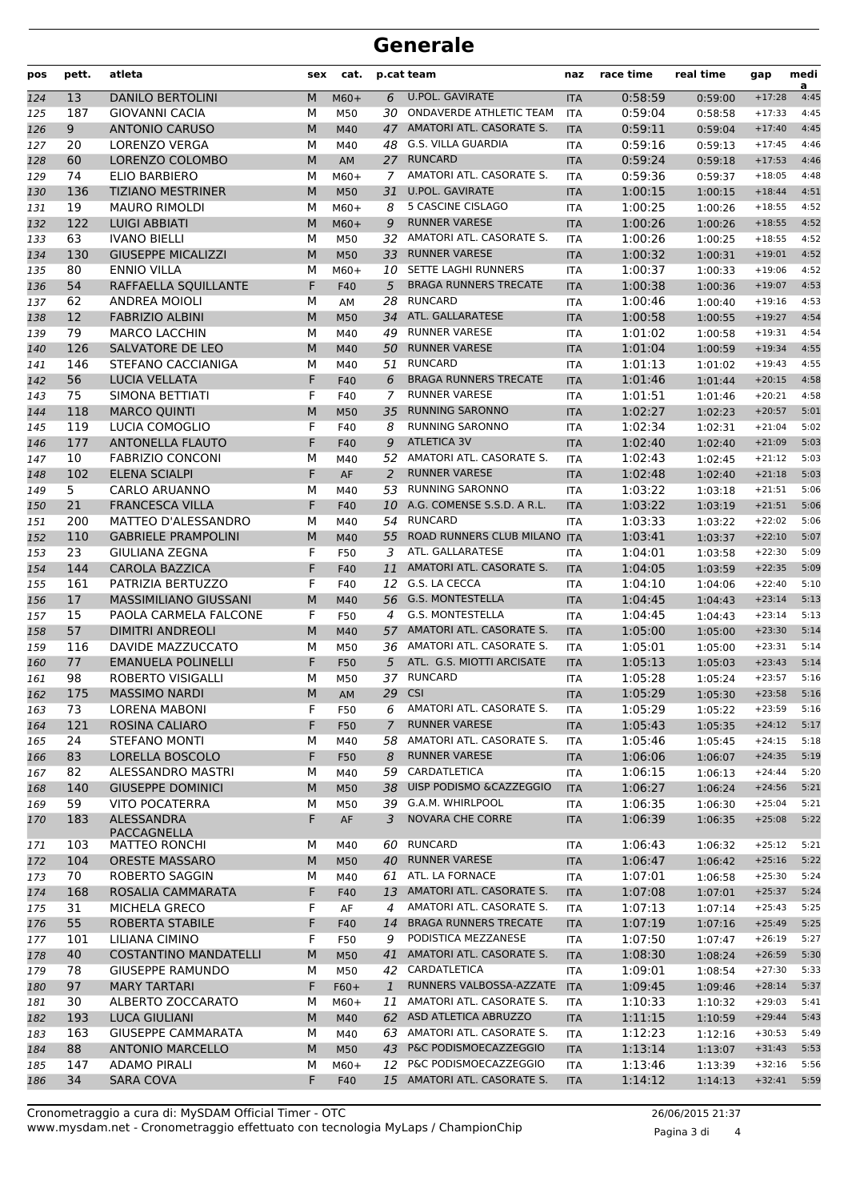### **Generale**

| pos | pett. | atleta                       | sex | cat.   |              | p.cat team                   | naz        | race time | real time | gap      | medi<br>a |
|-----|-------|------------------------------|-----|--------|--------------|------------------------------|------------|-----------|-----------|----------|-----------|
| 124 | 13    | <b>DANILO BERTOLINI</b>      | M   | $M60+$ | 6            | <b>U.POL. GAVIRATE</b>       | <b>ITA</b> | 0:58:59   | 0:59:00   | $+17:28$ | 4:45      |
| 125 | 187   | <b>GIOVANNI CACIA</b>        | М   | M50    |              | 30 ONDAVERDE ATHLETIC TEAM   | <b>ITA</b> | 0:59:04   | 0:58:58   | $+17:33$ | 4:45      |
| 126 | 9     | <b>ANTONIO CARUSO</b>        | M   | M40    | 47           | AMATORI ATL. CASORATE S.     | <b>ITA</b> | 0:59:11   | 0:59:04   | $+17:40$ | 4:45      |
| 127 | 20    | LORENZO VERGA                | М   | M40    | 48           | <b>G.S. VILLA GUARDIA</b>    | ITA        | 0:59:16   | 0:59:13   | $+17:45$ | 4:46      |
| 128 | 60    | LORENZO COLOMBO              | M   | AM     | 27           | <b>RUNCARD</b>               | <b>ITA</b> | 0:59:24   | 0:59:18   | $+17:53$ | 4:46      |
| 129 | 74    | ELIO BARBIERO                | М   | $M60+$ | 7            | AMATORI ATL. CASORATE S.     | <b>ITA</b> | 0:59:36   | 0:59:37   | $+18:05$ | 4:48      |
| 130 | 136   | TIZIANO MESTRINER            | M   | M50    | 31           | <b>U.POL. GAVIRATE</b>       | <b>ITA</b> | 1:00:15   | 1:00:15   | $+18:44$ | 4:51      |
| 131 | 19    | <b>MAURO RIMOLDI</b>         | М   | $M60+$ | 8            | 5 CASCINE CISLAGO            | <b>ITA</b> | 1:00:25   | 1:00:26   | $+18:55$ | 4:52      |
| 132 | 122   | <b>LUIGI ABBIATI</b>         | M   | $M60+$ | 9            | <b>RUNNER VARESE</b>         | <b>ITA</b> | 1:00:26   | 1:00:26   | $+18:55$ | 4:52      |
| 133 | 63    | <b>IVANO BIELLI</b>          | М   | M50    | 32           | AMATORI ATL. CASORATE S.     | <b>ITA</b> | 1:00:26   | 1:00:25   | $+18:55$ | 4:52      |
| 134 | 130   | <b>GIUSEPPE MICALIZZI</b>    | M   | M50    | 33           | <b>RUNNER VARESE</b>         | <b>ITA</b> | 1:00:32   | 1:00:31   | $+19:01$ | 4:52      |
| 135 | 80    | <b>ENNIO VILLA</b>           | М   | $M60+$ | 10           | SETTE LAGHI RUNNERS          | <b>ITA</b> | 1:00:37   | 1:00:33   | $+19:06$ | 4:52      |
| 136 | 54    | RAFFAELLA SQUILLANTE         | F   | F40    | 5            | <b>BRAGA RUNNERS TRECATE</b> | <b>ITA</b> | 1:00:38   | 1:00:36   | $+19:07$ | 4:53      |
| 137 | 62    | ANDREA MOIOLI                | М   | AM     | 28           | <b>RUNCARD</b>               | <b>ITA</b> | 1:00:46   | 1:00:40   | $+19:16$ | 4:53      |
| 138 | 12    | <b>FABRIZIO ALBINI</b>       | М   | M50    | 34           | ATL. GALLARATESE             | <b>ITA</b> | 1:00:58   | 1:00:55   | $+19:27$ | 4:54      |
| 139 | 79    | <b>MARCO LACCHIN</b>         | М   | M40    | 49           | <b>RUNNER VARESE</b>         | <b>ITA</b> | 1:01:02   | 1:00:58   | $+19:31$ | 4:54      |
| 140 | 126   | SALVATORE DE LEO             | M   | M40    | 50           | <b>RUNNER VARESE</b>         | <b>ITA</b> | 1:01:04   | 1:00:59   | $+19:34$ | 4:55      |
|     | 146   | STEFANO CACCIANIGA           | М   | M40    | 51           | <b>RUNCARD</b>               | <b>ITA</b> | 1:01:13   |           | $+19:43$ | 4:55      |
| 141 |       |                              | F   |        | 6            | <b>BRAGA RUNNERS TRECATE</b> |            |           | 1:01:02   | $+20:15$ | 4:58      |
| 142 | 56    | <b>LUCIA VELLATA</b>         |     | F40    |              |                              | <b>ITA</b> | 1:01:46   | 1:01:44   |          |           |
| 143 | 75    | SIMONA BETTIATI              | F   | F40    | 7            | <b>RUNNER VARESE</b>         | <b>ITA</b> | 1:01:51   | 1:01:46   | $+20:21$ | 4:58      |
| 144 | 118   | <b>MARCO QUINTI</b>          | М   | M50    | 35           | <b>RUNNING SARONNO</b>       | <b>ITA</b> | 1:02:27   | 1:02:23   | $+20:57$ | 5:01      |
| 145 | 119   | LUCIA COMOGLIO               | F   | F40    | 8            | <b>RUNNING SARONNO</b>       | <b>ITA</b> | 1:02:34   | 1:02:31   | $+21:04$ | 5:02      |
| 146 | 177   | <b>ANTONELLA FLAUTO</b>      | F   | F40    | 9            | <b>ATLETICA 3V</b>           | <b>ITA</b> | 1:02:40   | 1:02:40   | $+21:09$ | 5:03      |
| 147 | 10    | <b>FABRIZIO CONCONI</b>      | М   | M40    | 52           | AMATORI ATL. CASORATE S.     | <b>ITA</b> | 1:02:43   | 1:02:45   | $+21:12$ | 5:03      |
| 148 | 102   | <b>ELENA SCIALPI</b>         | F   | AF     | 2            | <b>RUNNER VARESE</b>         | <b>ITA</b> | 1:02:48   | 1:02:40   | $+21:18$ | 5:03      |
| 149 | 5     | <b>CARLO ARUANNO</b>         | M   | M40    | 53           | <b>RUNNING SARONNO</b>       | <b>ITA</b> | 1:03:22   | 1:03:18   | $+21:51$ | 5:06      |
| 150 | 21    | <b>FRANCESCA VILLA</b>       | F   | F40    | 10           | A.G. COMENSE S.S.D. A R.L.   | <b>ITA</b> | 1:03:22   | 1:03:19   | $+21:51$ | 5:06      |
| 151 | 200   | <b>MATTEO D'ALESSANDRO</b>   | М   | M40    | 54           | <b>RUNCARD</b>               | ITA        | 1:03:33   | 1:03:22   | $+22:02$ | 5:06      |
| 152 | 110   | <b>GABRIELE PRAMPOLINI</b>   | M   | M40    | 55           | ROAD RUNNERS CLUB MILANO ITA |            | 1:03:41   | 1:03:37   | $+22:10$ | 5:07      |
| 153 | 23    | <b>GIULIANA ZEGNA</b>        | F   | F50    | 3            | ATL. GALLARATESE             | <b>ITA</b> | 1:04:01   | 1:03:58   | $+22:30$ | 5:09      |
| 154 | 144   | <b>CAROLA BAZZICA</b>        | F   | F40    | 11           | AMATORI ATL. CASORATE S.     | <b>ITA</b> | 1:04:05   | 1:03:59   | $+22:35$ | 5:09      |
| 155 | 161   | PATRIZIA BERTUZZO            | F   | F40    | 12           | G.S. LA CECCA                | <b>ITA</b> | 1:04:10   | 1:04:06   | $+22:40$ | 5:10      |
| 156 | 17    | <b>MASSIMILIANO GIUSSANI</b> | М   | M40    | 56           | <b>G.S. MONTESTELLA</b>      | <b>ITA</b> | 1:04:45   | 1:04:43   | $+23:14$ | 5:13      |
| 157 | 15    | PAOLA CARMELA FALCONE        | F   | F50    | 4            | G.S. MONTESTELLA             | <b>ITA</b> | 1:04:45   | 1:04:43   | $+23:14$ | 5:13      |
| 158 | 57    | <b>DIMITRI ANDREOLI</b>      | M   | M40    | 57           | AMATORI ATL. CASORATE S.     | <b>ITA</b> | 1:05:00   | 1:05:00   | $+23:30$ | 5:14      |
| 159 | 116   | <b>DAVIDE MAZZUCCATO</b>     | М   | M50    |              | 36 AMATORI ATL. CASORATE S.  | <b>ITA</b> | 1:05:01   | 1:05:00   | $+23:31$ | 5:14      |
| 160 | 77    | <b>EMANUELA POLINELLI</b>    | F   | F50    | 5            | ATL. G.S. MIOTTI ARCISATE    | <b>ITA</b> | 1:05:13   | 1:05:03   | $+23:43$ | 5:14      |
| 161 | 98    | ROBERTO VISIGALLI            | М   | M50    | 37           | <b>RUNCARD</b>               | <b>ITA</b> | 1:05:28   | 1:05:24   | $+23:57$ | 5:16      |
| 162 | 175   | <b>MASSIMO NARDI</b>         | M   | AM     | 29           | CSI                          | <b>ITA</b> | 1:05:29   | 1:05:30   | $+23:58$ | 5:16      |
| 163 | 73    | <b>LORENA MABONI</b>         | F   | F50    | 6            | AMATORI ATL. CASORATE S.     | ITA        | 1:05:29   | 1:05:22   | $+23:59$ | 5:16      |
| 164 | 121   | ROSINA CALIARO               | F   | F50    | 7            | <b>RUNNER VARESE</b>         | <b>ITA</b> | 1:05:43   | 1:05:35   | $+24:12$ | 5:17      |
| 165 | 24    | <b>STEFANO MONTI</b>         | М   | M40    | 58           | AMATORI ATL. CASORATE S.     | ITA        | 1:05:46   | 1:05:45   | $+24:15$ | 5:18      |
| 166 | 83    | LORELLA BOSCOLO              | F   | F50    | 8            | <b>RUNNER VARESE</b>         | <b>ITA</b> | 1:06:06   | 1:06:07   | $+24:35$ | 5:19      |
| 167 | 82    | ALESSANDRO MASTRI            | М   | M40    |              | 59 CARDATLETICA              | <b>ITA</b> | 1:06:15   | 1:06:13   | $+24:44$ | 5:20      |
| 168 | 140   | <b>GIUSEPPE DOMINICI</b>     | M   | M50    | 38           | UISP PODISMO & CAZZEGGIO     | <b>ITA</b> | 1:06:27   | 1:06:24   | $+24:56$ | 5:21      |
| 169 | 59    | <b>VITO POCATERRA</b>        | М   | M50    |              | 39 G.A.M. WHIRLPOOL          | ITA        | 1:06:35   | 1:06:30   | $+25:04$ | 5:21      |
|     | 183   | <b>ALESSANDRA</b>            | F   | AF     | 3            | NOVARA CHE CORRE             | <b>ITA</b> | 1:06:39   |           | $+25:08$ | 5:22      |
| 170 |       | PACCAGNELLA                  |     |        |              |                              |            |           | 1:06:35   |          |           |
| 171 | 103   | <b>MATTEO RONCHI</b>         | М   | M40    | 60           | <b>RUNCARD</b>               | ITA        | 1:06:43   | 1:06:32   | $+25:12$ | 5:21      |
| 172 | 104   | ORESTE MASSARO               | M   | M50    | 40           | <b>RUNNER VARESE</b>         | <b>ITA</b> | 1:06:47   | 1:06:42   | $+25:16$ | 5:22      |
| 173 | 70    | ROBERTO SAGGIN               | М   | M40    | 61           | ATL. LA FORNACE              | ITA        | 1:07:01   | 1:06:58   | $+25:30$ | 5:24      |
| 174 | 168   | ROSALIA CAMMARATA            | F   | F40    |              | 13 AMATORI ATL. CASORATE S.  | <b>ITA</b> | 1:07:08   | 1:07:01   | $+25:37$ | 5:24      |
| 175 | 31    | MICHELA GRECO                | F   | AF     | 4            | AMATORI ATL. CASORATE S.     | ITA        | 1:07:13   | 1:07:14   | $+25:43$ | 5:25      |
| 176 | 55    | ROBERTA STABILE              | F   | F40    | 14           | <b>BRAGA RUNNERS TRECATE</b> | <b>ITA</b> | 1:07:19   | 1:07:16   | $+25:49$ | 5:25      |
| 177 | 101   | LILIANA CIMINO               | F   | F50    | 9            | PODISTICA MEZZANESE          | ITA        | 1:07:50   | 1:07:47   | $+26:19$ | 5:27      |
| 178 | 40    | <b>COSTANTINO MANDATELLI</b> | M   | M50    | 41           | AMATORI ATL. CASORATE S.     | <b>ITA</b> | 1:08:30   | 1:08:24   | $+26:59$ | 5:30      |
|     |       |                              |     |        |              |                              |            |           |           |          |           |
| 179 | 78    | <b>GIUSEPPE RAMUNDO</b>      | М   | M50    |              | 42 CARDATLETICA              | ITA        | 1:09:01   | 1:08:54   | $+27:30$ | 5:33      |
| 180 | 97    | <b>MARY TARTARI</b>          | F   | $F60+$ | $\mathbf{1}$ | RUNNERS VALBOSSA-AZZATE      | <b>ITA</b> | 1:09:45   | 1:09:46   | $+28:14$ | 5:37      |
| 181 | 30    | ALBERTO ZOCCARATO            | М   | $M60+$ |              | 11 AMATORI ATL. CASORATE S.  | ITA        | 1:10:33   | 1:10:32   | $+29:03$ | 5:41      |
| 182 | 193   | <b>LUCA GIULIANI</b>         | M   | M40    |              | 62 ASD ATLETICA ABRUZZO      | <b>ITA</b> | 1:11:15   | 1:10:59   | $+29:44$ | 5:43      |
| 183 | 163   | <b>GIUSEPPE CAMMARATA</b>    | М   | M40    |              | 63 AMATORI ATL. CASORATE S.  | ITA        | 1:12:23   | 1:12:16   | $+30:53$ | 5:49      |
| 184 | 88    | <b>ANTONIO MARCELLO</b>      | M   | M50    | 43           | P&C PODISMOECAZZEGGIO        | <b>ITA</b> | 1:13:14   | 1:13:07   | $+31:43$ | 5:53      |
| 185 | 147   | ADAMO PIRALI                 | М   | $M60+$ | 12           | P&C PODISMOECAZZEGGIO        | ITA        | 1:13:46   | 1:13:39   | $+32:16$ | 5:56      |
| 186 | 34    | <b>SARA COVA</b>             | F   | F40    |              | 15 AMATORI ATL. CASORATE S.  | <b>ITA</b> | 1:14:12   | 1:14:13   | $+32:41$ | 5:59      |

Pagina 3 di 4